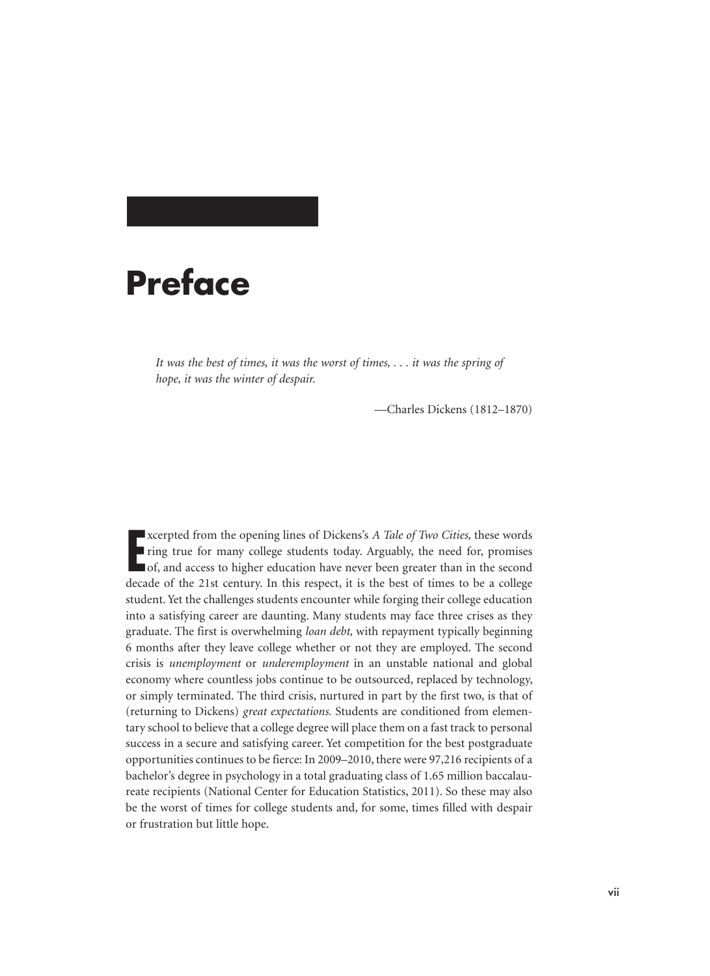## **Preface**

 *It was the best of times, it was the worst of times, . . . it was the spring of hope, it was the winter of despair.* 

—Charles Dickens (1812–1870)

 **E** xcerpted from the opening lines of Dickens's *A Tale of Two Cities,* these words ring true for many college students today. Arguably, the need for, promises of, and access to higher education have never been greater than in the second decade of the 21st century. In this respect, it is the best of times to be a college student. Yet the challenges students encounter while forging their college education into a satisfying career are daunting. Many students may face three crises as they graduate. The first is overwhelming *loan debt,* with repayment typically beginning 6 months after they leave college whether or not they are employed. The second crisis is *unemployment* or *underemployment* in an unstable national and global economy where countless jobs continue to be outsourced, replaced by technology, or simply terminated. The third crisis, nurtured in part by the first two, is that of (returning to Dickens) *great expectations.* Students are conditioned from elementary school to believe that a college degree will place them on a fast track to personal success in a secure and satisfying career. Yet competition for the best postgraduate opportunities continues to be fierce: In 2009–2010, there were 97,216 recipients of a bachelor's degree in psychology in a total graduating class of 1.65 million baccalaureate recipients (National Center for Education Statistics, 2011). So these may also be the worst of times for college students and, for some, times filled with despair or frustration but little hope.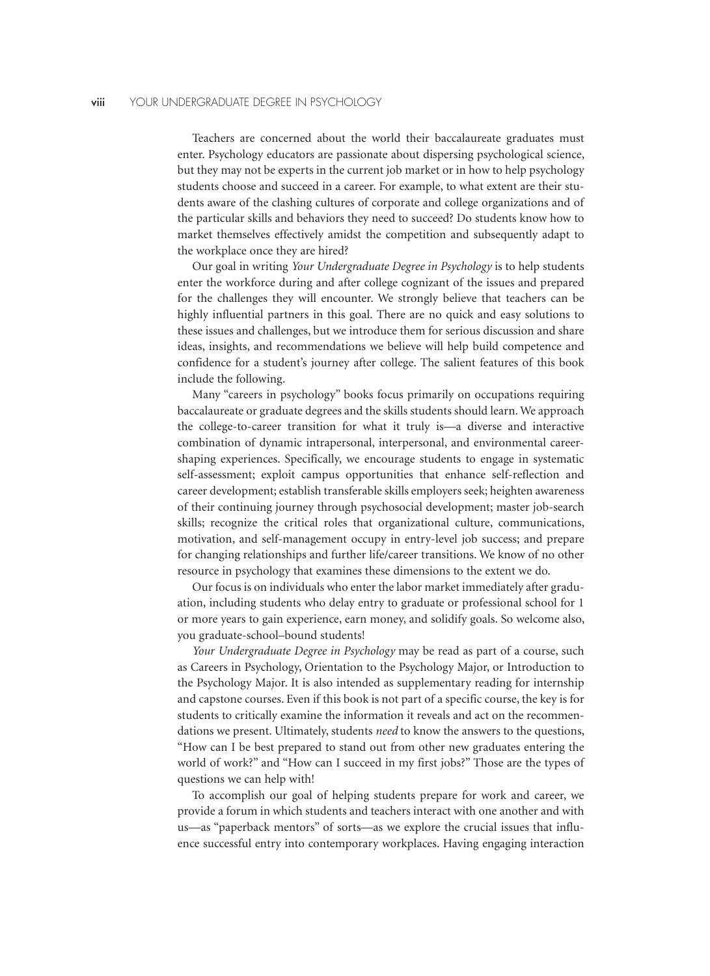Teachers are concerned about the world their baccalaureate graduates must enter. Psychology educators are passionate about dispersing psychological science, but they may not be experts in the current job market or in how to help psychology students choose and succeed in a career. For example, to what extent are their students aware of the clashing cultures of corporate and college organizations and of the particular skills and behaviors they need to succeed? Do students know how to market themselves effectively amidst the competition and subsequently adapt to the workplace once they are hired?

 Our goal in writing *Your Undergraduate Degree in Psychology* is to help students enter the workforce during and after college cognizant of the issues and prepared for the challenges they will encounter. We strongly believe that teachers can be highly influential partners in this goal. There are no quick and easy solutions to these issues and challenges, but we introduce them for serious discussion and share ideas, insights, and recommendations we believe will help build competence and confidence for a student's journey after college. The salient features of this book include the following.

 Many "careers in psychology" books focus primarily on occupations requiring baccalaureate or graduate degrees and the skills students should learn. We approach the college-to-career transition for what it truly is—a diverse and interactive combination of dynamic intrapersonal, interpersonal, and environmental careershaping experiences. Specifically, we encourage students to engage in systematic self-assessment; exploit campus opportunities that enhance self-reflection and career development; establish transferable skills employers seek; heighten awareness of their continuing journey through psychosocial development; master job-search skills; recognize the critical roles that organizational culture, communications, motivation, and self-management occupy in entry-level job success; and prepare for changing relationships and further life/career transitions. We know of no other resource in psychology that examines these dimensions to the extent we do.

 Our focus is on individuals who enter the labor market immediately after graduation, including students who delay entry to graduate or professional school for 1 or more years to gain experience, earn money, and solidify goals. So welcome also, you graduate-school–bound students!

*Your Undergraduate Degree in Psychology* may be read as part of a course, such as Careers in Psychology, Orientation to the Psychology Major, or Introduction to the Psychology Major. It is also intended as supplementary reading for internship and capstone courses. Even if this book is not part of a specific course, the key is for students to critically examine the information it reveals and act on the recommendations we present. Ultimately, students *need* to know the answers to the questions, "How can I be best prepared to stand out from other new graduates entering the world of work?" and "How can I succeed in my first jobs?" Those are the types of questions we can help with!

 To accomplish our goal of helping students prepare for work and career, we provide a forum in which students and teachers interact with one another and with us—as "paperback mentors" of sorts—as we explore the crucial issues that influence successful entry into contemporary workplaces. Having engaging interaction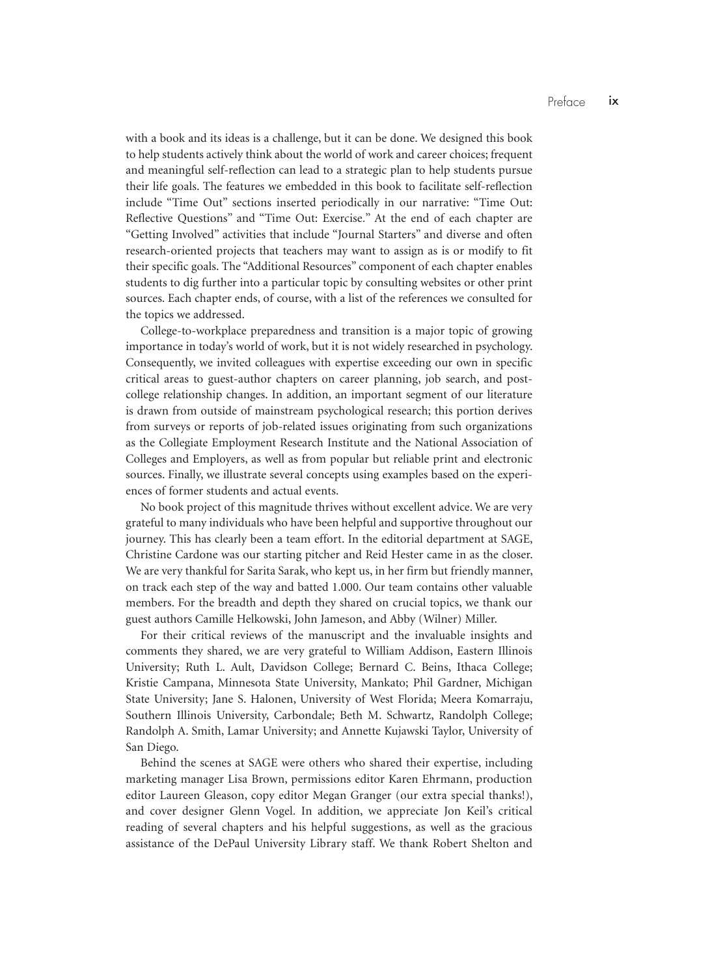with a book and its ideas is a challenge, but it can be done. We designed this book to help students actively think about the world of work and career choices; frequent and meaningful self-reflection can lead to a strategic plan to help students pursue their life goals. The features we embedded in this book to facilitate self-reflection include "Time Out" sections inserted periodically in our narrative: "Time Out: Reflective Questions" and "Time Out: Exercise." At the end of each chapter are "Getting Involved" activities that include "Journal Starters" and diverse and often research-oriented projects that teachers may want to assign as is or modify to fit their specific goals. The "Additional Resources" component of each chapter enables students to dig further into a particular topic by consulting websites or other print sources. Each chapter ends, of course, with a list of the references we consulted for the topics we addressed.

 College-to-workplace preparedness and transition is a major topic of growing importance in today's world of work, but it is not widely researched in psychology. Consequently, we invited colleagues with expertise exceeding our own in specific critical areas to guest-author chapters on career planning, job search, and postcollege relationship changes. In addition, an important segment of our literature is drawn from outside of mainstream psychological research; this portion derives from surveys or reports of job-related issues originating from such organizations as the Collegiate Employment Research Institute and the National Association of Colleges and Employers, as well as from popular but reliable print and electronic sources. Finally, we illustrate several concepts using examples based on the experiences of former students and actual events.

 No book project of this magnitude thrives without excellent advice. We are very grateful to many individuals who have been helpful and supportive throughout our journey. This has clearly been a team effort. In the editorial department at SAGE, Christine Cardone was our starting pitcher and Reid Hester came in as the closer. We are very thankful for Sarita Sarak, who kept us, in her firm but friendly manner, on track each step of the way and batted 1.000. Our team contains other valuable members. For the breadth and depth they shared on crucial topics, we thank our guest authors Camille Helkowski, John Jameson, and Abby (Wilner) Miller.

 For their critical reviews of the manuscript and the invaluable insights and comments they shared, we are very grateful to William Addison, Eastern Illinois University; Ruth L. Ault, Davidson College; Bernard C. Beins, Ithaca College; Kristie Campana, Minnesota State University, Mankato; Phil Gardner, Michigan State University; Jane S. Halonen, University of West Florida; Meera Komarraju, Southern Illinois University, Carbondale; Beth M. Schwartz, Randolph College; Randolph A. Smith, Lamar University; and Annette Kujawski Taylor, University of San Diego.

 Behind the scenes at SAGE were others who shared their expertise, including marketing manager Lisa Brown, permissions editor Karen Ehrmann, production editor Laureen Gleason, copy editor Megan Granger (our extra special thanks!), and cover designer Glenn Vogel. In addition, we appreciate Jon Keil's critical reading of several chapters and his helpful suggestions, as well as the gracious assistance of the DePaul University Library staff. We thank Robert Shelton and